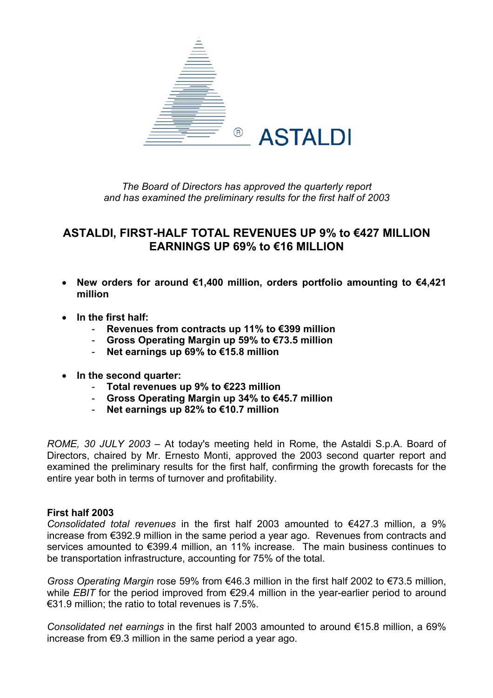

*The Board of Directors has approved the quarterly report and has examined the preliminary results for the first half of 2003* 

# **ASTALDI, FIRST-HALF TOTAL REVENUES UP 9% to €427 MILLION EARNINGS UP 69% to €16 MILLION**

- **New orders for around €1,400 million, orders portfolio amounting to €4,421 million**
- **In the first half:** 
	- **Revenues from contracts up 11% to €399 million**
	- **Gross Operating Margin up 59% to €73.5 million**
	- **Net earnings up 69% to €15.8 million**
- **In the second quarter:** 
	- **Total revenues up 9% to €223 million**
	- **Gross Operating Margin up 34% to €45.7 million**
	- **Net earnings up 82% to €10.7 million**

*ROME, 30 JULY 2003* – At today's meeting held in Rome, the Astaldi S.p.A. Board of Directors, chaired by Mr. Ernesto Monti, approved the 2003 second quarter report and examined the preliminary results for the first half, confirming the growth forecasts for the entire year both in terms of turnover and profitability.

## **First half 2003**

*Consolidated total revenues* in the first half 2003 amounted to €427.3 million, a 9% increase from €392.9 million in the same period a year ago. Revenues from contracts and services amounted to €399.4 million, an 11% increase. The main business continues to be transportation infrastructure, accounting for 75% of the total.

*Gross Operating Margin* rose 59% from €46.3 million in the first half 2002 to €73.5 million, while *EBIT* for the period improved from €29.4 million in the year-earlier period to around  $€31.9$  million; the ratio to total revenues is 7.5%.

*Consolidated net earnings* in the first half 2003 amounted to around €15.8 million, a 69% increase from €9.3 million in the same period a year ago.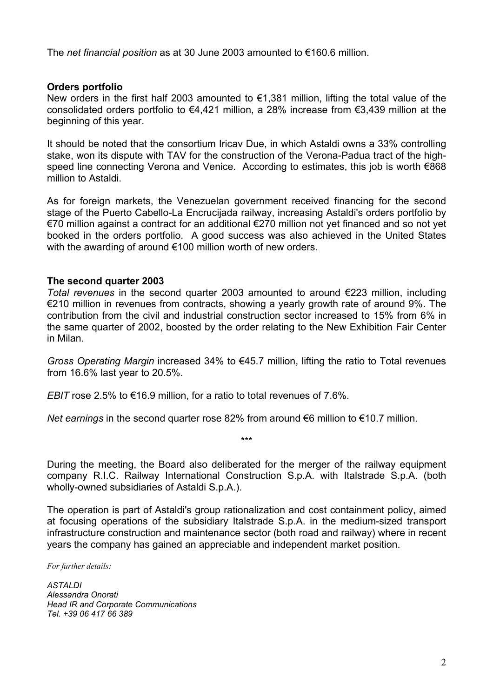The *net financial position* as at 30 June 2003 amounted to €160.6 million.

## **Orders portfolio**

New orders in the first half 2003 amounted to €1,381 million, lifting the total value of the consolidated orders portfolio to €4,421 million, a 28% increase from €3,439 million at the beginning of this year.

It should be noted that the consortium Iricav Due, in which Astaldi owns a 33% controlling stake, won its dispute with TAV for the construction of the Verona-Padua tract of the highspeed line connecting Verona and Venice. According to estimates, this job is worth €868 million to Astaldi.

As for foreign markets, the Venezuelan government received financing for the second stage of the Puerto Cabello-La Encrucijada railway, increasing Astaldi's orders portfolio by €70 million against a contract for an additional €270 million not yet financed and so not yet booked in the orders portfolio. A good success was also achieved in the United States with the awarding of around €100 million worth of new orders.

#### **The second quarter 2003**

*Total revenues* in the second quarter 2003 amounted to around €223 million, including €210 million in revenues from contracts, showing a yearly growth rate of around 9%. The contribution from the civil and industrial construction sector increased to 15% from 6% in the same quarter of 2002, boosted by the order relating to the New Exhibition Fair Center in Milan.

*Gross Operating Margin* increased 34% to €45.7 million, lifting the ratio to Total revenues from 16.6% last year to 20.5%.

*EBIT* rose 2.5% to  $\epsilon$ 16.9 million, for a ratio to total revenues of 7.6%.

*Net earnings* in the second quarter rose 82% from around €6 million to €10.7 million.

During the meeting, the Board also deliberated for the merger of the railway equipment company R.I.C. Railway International Construction S.p.A. with Italstrade S.p.A. (both wholly-owned subsidiaries of Astaldi S.p.A.).

\*\*\*

The operation is part of Astaldi's group rationalization and cost containment policy, aimed at focusing operations of the subsidiary Italstrade S.p.A. in the medium-sized transport infrastructure construction and maintenance sector (both road and railway) where in recent years the company has gained an appreciable and independent market position.

*For further details:* 

*ASTALDI Alessandra Onorati Head IR and Corporate Communications Tel. +39 06 417 66 389*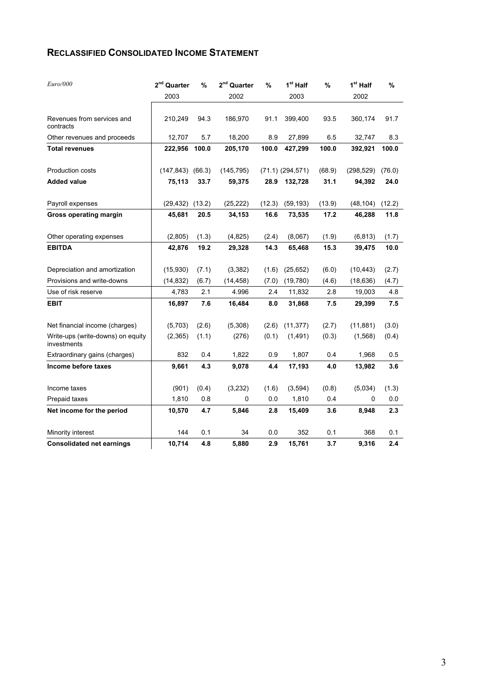# **RECLASSIFIED CONSOLIDATED INCOME STATEMENT**

| Euro/000                                         | $2nd$ Quarter<br>2003 | %      | $2nd$ Quarter<br>2002 | %      | $1st$ Half<br>2003   | $\frac{9}{6}$ | 1 <sup>st</sup> Half<br>2002 | %      |
|--------------------------------------------------|-----------------------|--------|-----------------------|--------|----------------------|---------------|------------------------------|--------|
| Revenues from services and<br>contracts          | 210,249               | 94.3   | 186,970               | 91.1   | 399,400              | 93.5          | 360,174                      | 91.7   |
| Other revenues and proceeds                      | 12,707                | 5.7    | 18,200                | 8.9    | 27,899               | 6.5           | 32,747                       | 8.3    |
| <b>Total revenues</b>                            | 222,956               | 100.0  | 205,170               | 100.0  | 427,299              | 100.0         | 392,921                      | 100.0  |
| Production costs                                 | (147, 843)            | (66.3) | (145, 795)            |        | $(71.1)$ $(294.571)$ | (68.9)        | (298, 529)                   | (76.0) |
| <b>Added value</b>                               | 75,113                | 33.7   | 59,375                | 28.9   | 132,728              | 31.1          | 94,392                       | 24.0   |
| Payroll expenses                                 | (29, 432)             | (13.2) | (25, 222)             | (12.3) | (59, 193)            | (13.9)        | (48, 104)                    | (12.2) |
| <b>Gross operating margin</b>                    | 45,681                | 20.5   | 34,153                | 16.6   | 73,535               | 17.2          | 46,288                       | 11.8   |
| Other operating expenses                         | (2,805)               | (1.3)  | (4, 825)              | (2.4)  | (8,067)              | (1.9)         | (6, 813)                     | (1.7)  |
| <b>EBITDA</b>                                    | 42,876                | 19.2   | 29,328                | 14.3   | 65,468               | 15.3          | 39,475                       | 10.0   |
| Depreciation and amortization                    | (15,930)              | (7.1)  | (3,382)               | (1.6)  | (25, 652)            | (6.0)         | (10, 443)                    | (2.7)  |
| Provisions and write-downs                       | (14, 832)             | (6.7)  | (14, 458)             | (7.0)  | (19,780)             | (4.6)         | (18, 636)                    | (4.7)  |
| Use of risk reserve                              | 4,783                 | 2.1    | 4.996                 | 2.4    | 11,832               | 2.8           | 19,003                       | 4.8    |
| <b>EBIT</b>                                      | 16,897                | 7.6    | 16,484                | 8.0    | 31,868               | 7.5           | 29,399                       | 7.5    |
| Net financial income (charges)                   | (5,703)               | (2.6)  | (5,308)               | (2.6)  | (11, 377)            | (2.7)         | (11, 881)                    | (3.0)  |
| Write-ups (write-downs) on equity<br>investments | (2,365)               | (1.1)  | (276)                 | (0.1)  | (1, 491)             | (0.3)         | (1,568)                      | (0.4)  |
| Extraordinary gains (charges)                    | 832                   | 0.4    | 1,822                 | 0.9    | 1,807                | 0.4           | 1,968                        | 0.5    |
| Income before taxes                              | 9,661                 | 4.3    | 9,078                 | 4.4    | 17,193               | 4.0           | 13,982                       | 3.6    |
| Income taxes                                     | (901)                 | (0.4)  | (3,232)               | (1.6)  | (3,594)              | (0.8)         | (5,034)                      | (1.3)  |
| Prepaid taxes                                    | 1,810                 | 0.8    | 0                     | 0.0    | 1,810                | 0.4           | 0                            | 0.0    |
| Net income for the period                        | 10,570                | 4.7    | 5,846                 | 2.8    | 15,409               | 3.6           | 8,948                        | 2.3    |
| Minority interest                                | 144                   | 0.1    | 34                    | 0.0    | 352                  | 0.1           | 368                          | 0.1    |
| <b>Consolidated net earnings</b>                 | 10,714                | 4.8    | 5,880                 | 2.9    | 15,761               | 3.7           | 9,316                        | 2.4    |